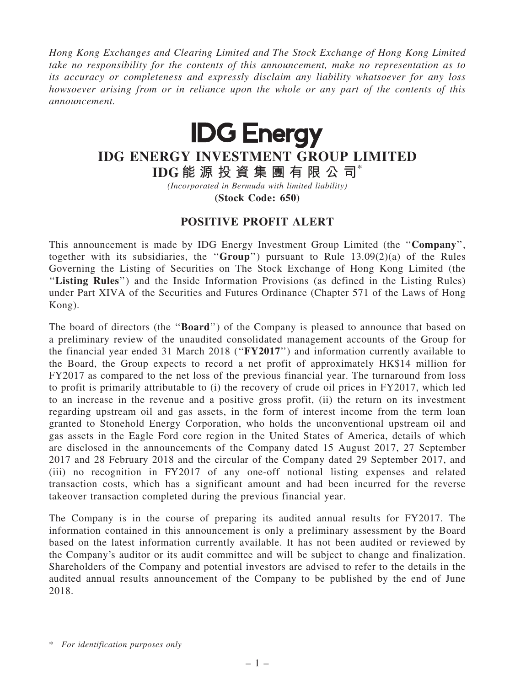Hong Kong Exchanges and Clearing Limited and The Stock Exchange of Hong Kong Limited take no responsibility for the contents of this announcement, make no representation as to its accuracy or completeness and expressly disclaim any liability whatsoever for any loss howsoever arising from or in reliance upon the whole or any part of the contents of this announcement.



## IDG ENERGY INVESTMENT GROUP LIMITED

IDG 能 源 投 資 集 團 有 限 公 司\*

(Incorporated in Bermuda with limited liability)

(Stock Code: 650)

## POSITIVE PROFIT ALERT

This announcement is made by IDG Energy Investment Group Limited (the "Company", together with its subsidiaries, the "Group") pursuant to Rule  $13.09(2)(a)$  of the Rules Governing the Listing of Securities on The Stock Exchange of Hong Kong Limited (the ''Listing Rules'') and the Inside Information Provisions (as defined in the Listing Rules) under Part XIVA of the Securities and Futures Ordinance (Chapter 571 of the Laws of Hong Kong).

The board of directors (the "**Board**") of the Company is pleased to announce that based on a preliminary review of the unaudited consolidated management accounts of the Group for the financial year ended 31 March 2018 (''FY2017'') and information currently available to the Board, the Group expects to record a net profit of approximately HK\$14 million for FY2017 as compared to the net loss of the previous financial year. The turnaround from loss to profit is primarily attributable to (i) the recovery of crude oil prices in FY2017, which led to an increase in the revenue and a positive gross profit, (ii) the return on its investment regarding upstream oil and gas assets, in the form of interest income from the term loan granted to Stonehold Energy Corporation, who holds the unconventional upstream oil and gas assets in the Eagle Ford core region in the United States of America, details of which are disclosed in the announcements of the Company dated 15 August 2017, 27 September 2017 and 28 February 2018 and the circular of the Company dated 29 September 2017, and (iii) no recognition in FY2017 of any one-off notional listing expenses and related transaction costs, which has a significant amount and had been incurred for the reverse takeover transaction completed during the previous financial year.

The Company is in the course of preparing its audited annual results for FY2017. The information contained in this announcement is only a preliminary assessment by the Board based on the latest information currently available. It has not been audited or reviewed by the Company's auditor or its audit committee and will be subject to change and finalization. Shareholders of the Company and potential investors are advised to refer to the details in the audited annual results announcement of the Company to be published by the end of June 2018.

<sup>\*</sup> For identification purposes only